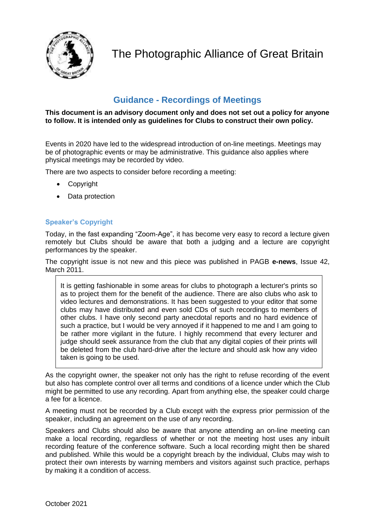

The Photographic Alliance of Great Britain

# **Guidance - Recordings of Meetings**

#### **This document is an advisory document only and does not set out a policy for anyone to follow. It is intended only as guidelines for Clubs to construct their own policy.**

Events in 2020 have led to the widespread introduction of on-line meetings. Meetings may be of photographic events or may be administrative. This guidance also applies where physical meetings may be recorded by video.

There are two aspects to consider before recording a meeting:

- Copyright
- Data protection

## **Speaker's Copyright**

Today, in the fast expanding "Zoom-Age", it has become very easy to record a lecture given remotely but Clubs should be aware that both a judging and a lecture are copyright performances by the speaker.

The copyright issue is not new and this piece was published in PAGB **e-news**, Issue 42, March 2011.

It is getting fashionable in some areas for clubs to photograph a lecturer's prints so as to project them for the benefit of the audience. There are also clubs who ask to video lectures and demonstrations. It has been suggested to your editor that some clubs may have distributed and even sold CDs of such recordings to members of other clubs. I have only second party anecdotal reports and no hard evidence of such a practice, but I would be very annoyed if it happened to me and I am going to be rather more vigilant in the future. I highly recommend that every lecturer and judge should seek assurance from the club that any digital copies of their prints will be deleted from the club hard-drive after the lecture and should ask how any video taken is going to be used.

As the copyright owner, the speaker not only has the right to refuse recording of the event but also has complete control over all terms and conditions of a licence under which the Club might be permitted to use any recording. Apart from anything else, the speaker could charge a fee for a licence.

A meeting must not be recorded by a Club except with the express prior permission of the speaker, including an agreement on the use of any recording.

Speakers and Clubs should also be aware that anyone attending an on-line meeting can make a local recording, regardless of whether or not the meeting host uses any inbuilt recording feature of the conference software. Such a local recording might then be shared and published. While this would be a copyright breach by the individual, Clubs may wish to protect their own interests by warning members and visitors against such practice, perhaps by making it a condition of access.